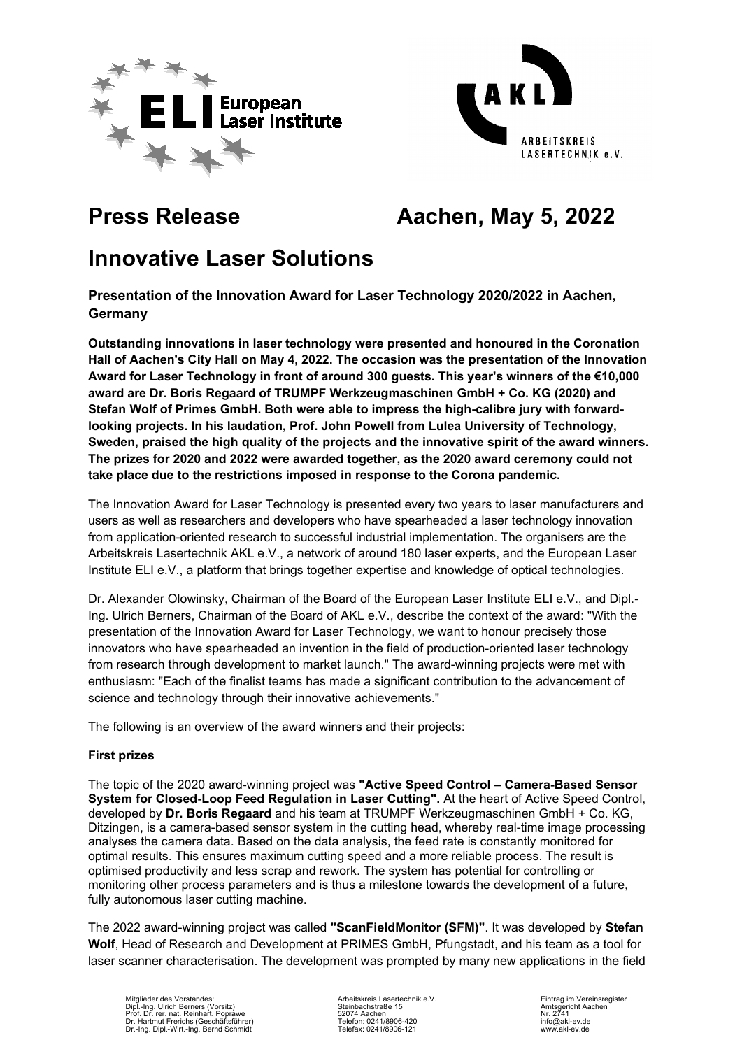



# **Press Release Aachen, May 5, 2022**

# **Innovative Laser Solutions**

**Presentation of the Innovation Award for Laser Technology 2020/2022 in Aachen, Germany**

**Outstanding innovations in laser technology were presented and honoured in the Coronation Hall of Aachen's City Hall on May 4, 2022. The occasion was the presentation of the Innovation Award for Laser Technology in front of around 300 guests. This year's winners of the €10,000 award are Dr. Boris Regaard of TRUMPF Werkzeugmaschinen GmbH + Co. KG (2020) and Stefan Wolf of Primes GmbH. Both were able to impress the high-calibre jury with forwardlooking projects. In his laudation, Prof. John Powell from Lulea University of Technology, Sweden, praised the high quality of the projects and the innovative spirit of the award winners. The prizes for 2020 and 2022 were awarded together, as the 2020 award ceremony could not take place due to the restrictions imposed in response to the Corona pandemic.**

The Innovation Award for Laser Technology is presented every two years to laser manufacturers and users as well as researchers and developers who have spearheaded a laser technology innovation from application-oriented research to successful industrial implementation. The organisers are the Arbeitskreis Lasertechnik AKL e.V., a network of around 180 laser experts, and the European Laser Institute ELI e.V., a platform that brings together expertise and knowledge of optical technologies.

Dr. Alexander Olowinsky, Chairman of the Board of the European Laser Institute ELI e.V., and Dipl.- Ing. Ulrich Berners, Chairman of the Board of AKL e.V., describe the context of the award: "With the presentation of the Innovation Award for Laser Technology, we want to honour precisely those innovators who have spearheaded an invention in the field of production-oriented laser technology from research through development to market launch." The award-winning projects were met with enthusiasm: "Each of the finalist teams has made a significant contribution to the advancement of science and technology through their innovative achievements."

The following is an overview of the award winners and their projects:

# **First prizes**

The topic of the 2020 award-winning project was **"Active Speed Control – Camera-Based Sensor System for Closed-Loop Feed Regulation in Laser Cutting".** At the heart of Active Speed Control, developed by **Dr. Boris Regaard** and his team at TRUMPF Werkzeugmaschinen GmbH + Co. KG, Ditzingen, is a camera-based sensor system in the cutting head, whereby real-time image processing analyses the camera data. Based on the data analysis, the feed rate is constantly monitored for optimal results. This ensures maximum cutting speed and a more reliable process. The result is optimised productivity and less scrap and rework. The system has potential for controlling or monitoring other process parameters and is thus a milestone towards the development of a future, fully autonomous laser cutting machine.

The 2022 award-winning project was called **"ScanFieldMonitor (SFM)"**. It was developed by **Stefan Wolf**, Head of Research and Development at PRIMES GmbH, Pfungstadt, and his team as a tool for laser scanner characterisation. The development was prompted by many new applications in the field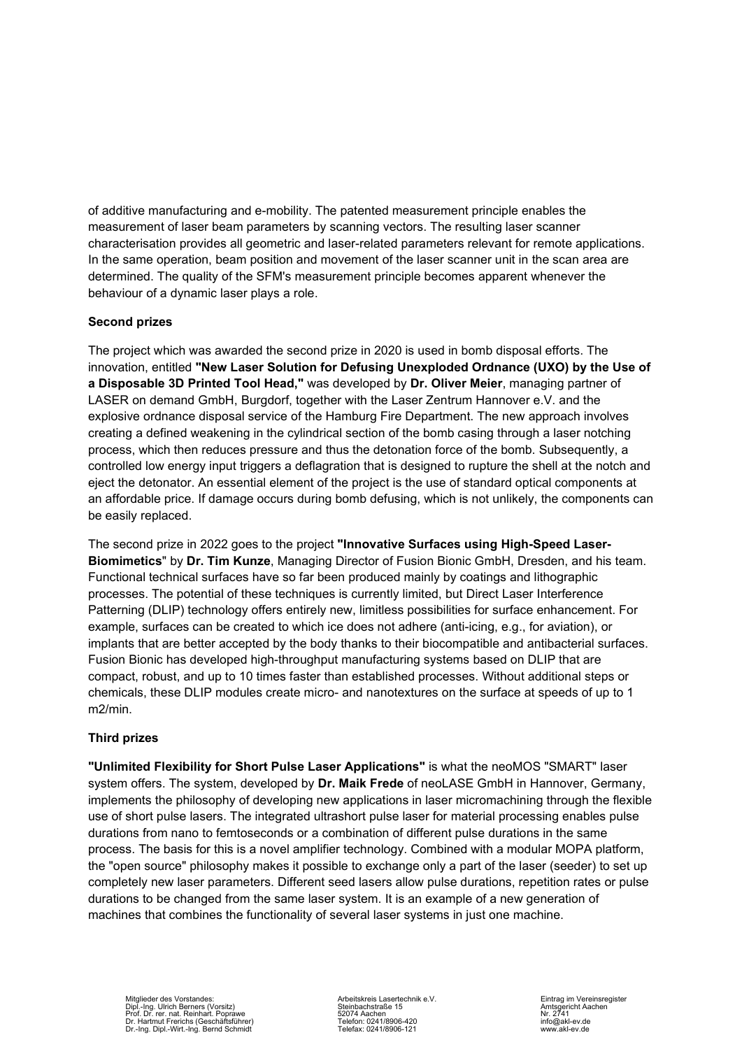of additive manufacturing and e-mobility. The patented measurement principle enables the measurement of laser beam parameters by scanning vectors. The resulting laser scanner characterisation provides all geometric and laser-related parameters relevant for remote applications. In the same operation, beam position and movement of the laser scanner unit in the scan area are determined. The quality of the SFM's measurement principle becomes apparent whenever the behaviour of a dynamic laser plays a role.

# **Second prizes**

The project which was awarded the second prize in 2020 is used in bomb disposal efforts. The innovation, entitled **"New Laser Solution for Defusing Unexploded Ordnance (UXO) by the Use of a Disposable 3D Printed Tool Head,"** was developed by **Dr. Oliver Meier**, managing partner of LASER on demand GmbH, Burgdorf, together with the Laser Zentrum Hannover e.V. and the explosive ordnance disposal service of the Hamburg Fire Department. The new approach involves creating a defined weakening in the cylindrical section of the bomb casing through a laser notching process, which then reduces pressure and thus the detonation force of the bomb. Subsequently, a controlled low energy input triggers a deflagration that is designed to rupture the shell at the notch and eject the detonator. An essential element of the project is the use of standard optical components at an affordable price. If damage occurs during bomb defusing, which is not unlikely, the components can be easily replaced.

The second prize in 2022 goes to the project **"Innovative Surfaces using High-Speed Laser-Biomimetics**" by **Dr. Tim Kunze**, Managing Director of Fusion Bionic GmbH, Dresden, and his team. Functional technical surfaces have so far been produced mainly by coatings and lithographic processes. The potential of these techniques is currently limited, but Direct Laser Interference Patterning (DLIP) technology offers entirely new, limitless possibilities for surface enhancement. For example, surfaces can be created to which ice does not adhere (anti-icing, e.g., for aviation), or implants that are better accepted by the body thanks to their biocompatible and antibacterial surfaces. Fusion Bionic has developed high-throughput manufacturing systems based on DLIP that are compact, robust, and up to 10 times faster than established processes. Without additional steps or chemicals, these DLIP modules create micro- and nanotextures on the surface at speeds of up to 1 m2/min.

# **Third prizes**

**"Unlimited Flexibility for Short Pulse Laser Applications"** is what the neoMOS "SMART" laser system offers. The system, developed by **Dr. Maik Frede** of neoLASE GmbH in Hannover, Germany, implements the philosophy of developing new applications in laser micromachining through the flexible use of short pulse lasers. The integrated ultrashort pulse laser for material processing enables pulse durations from nano to femtoseconds or a combination of different pulse durations in the same process. The basis for this is a novel amplifier technology. Combined with a modular MOPA platform, the "open source" philosophy makes it possible to exchange only a part of the laser (seeder) to set up completely new laser parameters. Different seed lasers allow pulse durations, repetition rates or pulse durations to be changed from the same laser system. It is an example of a new generation of machines that combines the functionality of several laser systems in just one machine.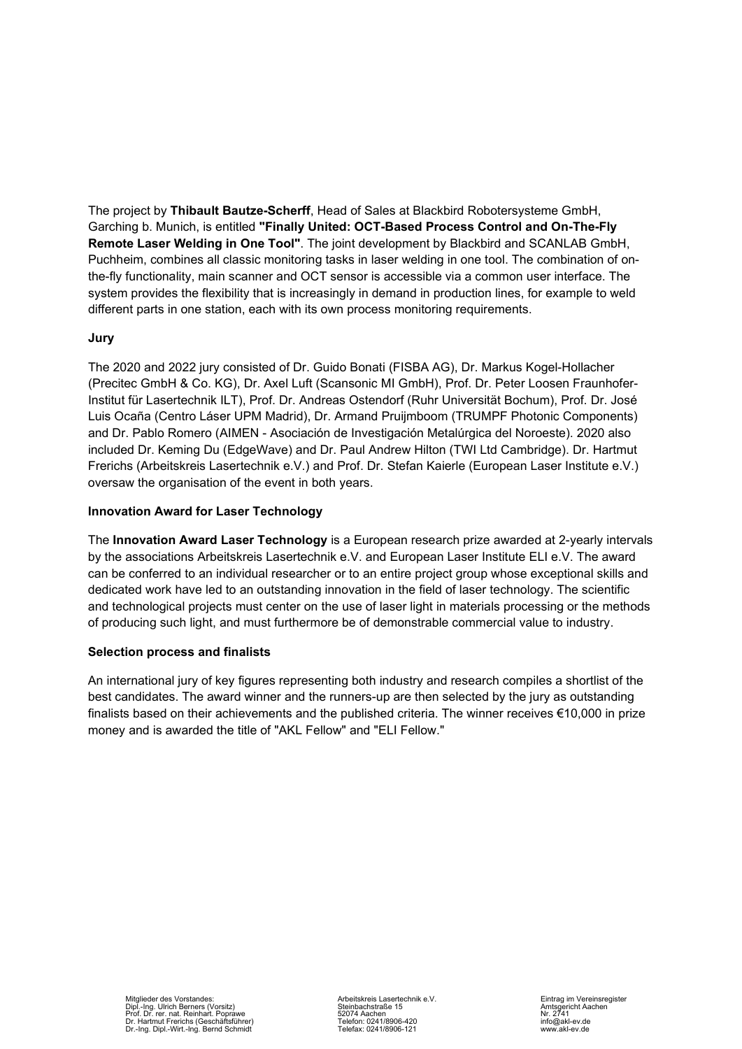The project by **Thibault Bautze-Scherff**, Head of Sales at Blackbird Robotersysteme GmbH, Garching b. Munich, is entitled **"Finally United: OCT-Based Process Control and On-The-Fly Remote Laser Welding in One Tool"**. The joint development by Blackbird and SCANLAB GmbH, Puchheim, combines all classic monitoring tasks in laser welding in one tool. The combination of onthe-fly functionality, main scanner and OCT sensor is accessible via a common user interface. The system provides the flexibility that is increasingly in demand in production lines, for example to weld different parts in one station, each with its own process monitoring requirements.

# **Jury**

The 2020 and 2022 jury consisted of Dr. Guido Bonati (FISBA AG), Dr. Markus Kogel-Hollacher (Precitec GmbH & Co. KG), Dr. Axel Luft (Scansonic MI GmbH), Prof. Dr. Peter Loosen Fraunhofer-Institut für Lasertechnik ILT), Prof. Dr. Andreas Ostendorf (Ruhr Universität Bochum), Prof. Dr. José Luis Ocaña (Centro Láser UPM Madrid), Dr. Armand Pruijmboom (TRUMPF Photonic Components) and Dr. Pablo Romero (AIMEN - Asociación de Investigación Metalúrgica del Noroeste). 2020 also included Dr. Keming Du (EdgeWave) and Dr. Paul Andrew Hilton (TWI Ltd Cambridge). Dr. Hartmut Frerichs (Arbeitskreis Lasertechnik e.V.) and Prof. Dr. Stefan Kaierle (European Laser Institute e.V.) oversaw the organisation of the event in both years.

# **Innovation Award for Laser Technology**

The **Innovation Award Laser Technology** is a European research prize awarded at 2-yearly intervals by the associations Arbeitskreis Lasertechnik e.V. and European Laser Institute ELI e.V. The award can be conferred to an individual researcher or to an entire project group whose exceptional skills and dedicated work have led to an outstanding innovation in the field of laser technology. The scientific and technological projects must center on the use of laser light in materials processing or the methods of producing such light, and must furthermore be of demonstrable commercial value to industry.

### **Selection process and finalists**

An international jury of key figures representing both industry and research compiles a shortlist of the best candidates. The award winner and the runners-up are then selected by the jury as outstanding finalists based on their achievements and the published criteria. The winner receives €10,000 in prize money and is awarded the title of "AKL Fellow" and "ELI Fellow."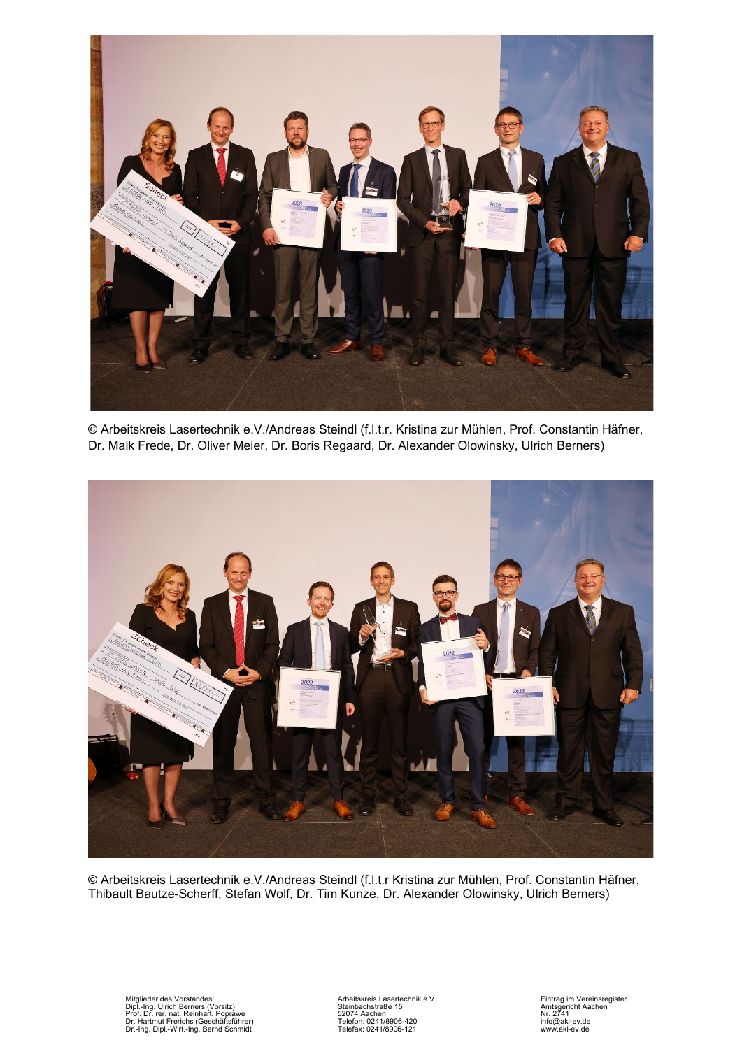

© Arbeitskreis Lasertechnik e.V./Andreas Steindl (f.l.t.r. Kristina zur Mühlen, Prof. Constantin Häfner, Dr. Maik Frede, Dr. Oliver Meier, Dr. Boris Regaard, Dr. Alexander Olowinsky, Ulrich Berners)



© Arbeitskreis Lasertechnik e.V./Andreas Steindl (f.l.t.r Kristina zur Mühlen, Prof. Constantin Häfner, Thibault Bautze-Scherff, Stefan Wolf, Dr. Tim Kunze, Dr. Alexander Olowinsky, Ulrich Berners)

Mitglieder des Vorstandes: Christian (Microsofter Architecture Christianus Architecture Christianus Apple 10)<br>2017 - The Steinbachstraße 15 (Microsoft Christianus Architecture Christianus Amtsgericht Aachen<br>2017 - Die Stan